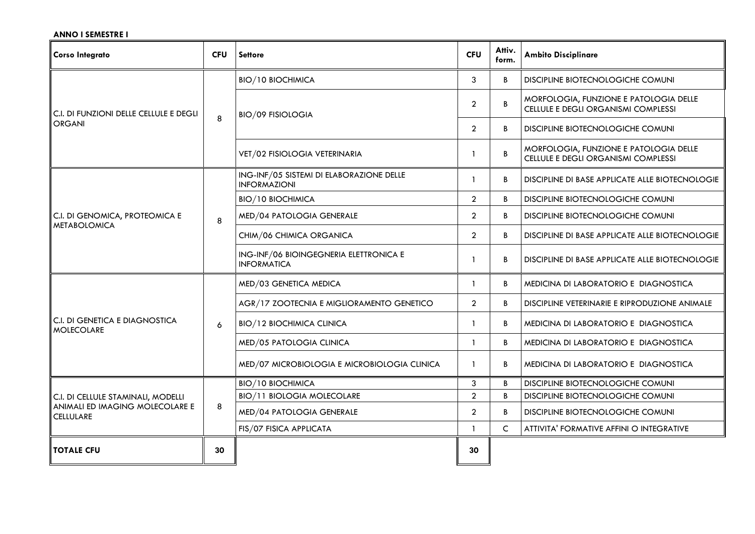## **ANNO I SEMESTRE I**

| <b>Corso Integrato</b>                                                                    | <b>CFU</b> | <b>Settore</b>                                                  | <b>CFU</b>     | Attiv.<br>form. | <b>Ambito Disciplinare</b>                                                    |
|-------------------------------------------------------------------------------------------|------------|-----------------------------------------------------------------|----------------|-----------------|-------------------------------------------------------------------------------|
| C.I. DI FUNZIONI DELLE CELLULE E DEGLI<br><b>ORGANI</b>                                   | 8          | <b>BIO/10 BIOCHIMICA</b>                                        | 3              | B               | DISCIPLINE BIOTECNOLOGICHE COMUNI                                             |
|                                                                                           |            | <b>BIO/09 FISIOLOGIA</b>                                        | $\overline{2}$ | B               | MORFOLOGIA, FUNZIONE E PATOLOGIA DELLE<br>CELLULE E DEGLI ORGANISMI COMPLESSI |
|                                                                                           |            |                                                                 | $\overline{2}$ | B               | DISCIPLINE BIOTECNOLOGICHE COMUNI                                             |
|                                                                                           |            | VET/02 FISIOLOGIA VETERINARIA                                   |                | B               | MORFOLOGIA, FUNZIONE E PATOLOGIA DELLE<br>CELLULE E DEGLI ORGANISMI COMPLESSI |
| C.I. DI GENOMICA, PROTEOMICA E<br><b>METABOLOMICA</b>                                     | 8          | ING-INF/05 SISTEMI DI ELABORAZIONE DELLE<br><b>INFORMAZIONI</b> | 1              | B               | DISCIPLINE DI BASE APPLICATE ALLE BIOTECNOLOGIE                               |
|                                                                                           |            | <b>BIO/10 BIOCHIMICA</b>                                        | $\overline{2}$ | B               | DISCIPLINE BIOTECNOLOGICHE COMUNI                                             |
|                                                                                           |            | MED/04 PATOLOGIA GENERALE                                       | $\overline{2}$ | B               | DISCIPLINE BIOTECNOLOGICHE COMUNI                                             |
|                                                                                           |            | CHIM/06 CHIMICA ORGANICA                                        | $\overline{2}$ | B               | DISCIPLINE DI BASE APPLICATE ALLE BIOTECNOLOGIE                               |
|                                                                                           |            | ING-INF/06 BIOINGEGNERIA ELETTRONICA E<br><b>INFORMATICA</b>    |                | B               | DISCIPLINE DI BASE APPLICATE ALLE BIOTECNOLOGIE                               |
| C.I. DI GENETICA E DIAGNOSTICA<br><b>MOLECOLARE</b>                                       |            | MED/03 GENETICA MEDICA                                          | 1              | B               | MEDICINA DI LABORATORIO E DIAGNOSTICA                                         |
|                                                                                           |            | AGR/17 ZOOTECNIA E MIGLIORAMENTO GENETICO                       | $\overline{2}$ | B               | DISCIPLINE VETERINARIE E RIPRODUZIONE ANIMALE                                 |
|                                                                                           | 6          | <b>BIO/12 BIOCHIMICA CLINICA</b>                                | $\mathbf{1}$   | B               | MEDICINA DI LABORATORIO E DIAGNOSTICA                                         |
|                                                                                           |            | MED/05 PATOLOGIA CLINICA                                        | 1              | B               | MEDICINA DI LABORATORIO E DIAGNOSTICA                                         |
|                                                                                           |            | MED/07 MICROBIOLOGIA E MICROBIOLOGIA CLINICA                    | -1             | B               | MEDICINA DI LABORATORIO E DIAGNOSTICA                                         |
| C.I. DI CELLULE STAMINALI, MODELLI<br>ANIMALI ED IMAGING MOLECOLARE E<br><b>CELLULARE</b> | 8          | <b>BIO/10 BIOCHIMICA</b>                                        | 3              | B               | DISCIPLINE BIOTECNOLOGICHE COMUNI                                             |
|                                                                                           |            | <b>BIO/11 BIOLOGIA MOLECOLARE</b>                               | $\overline{2}$ | B               | DISCIPLINE BIOTECNOLOGICHE COMUNI                                             |
|                                                                                           |            | MED/04 PATOLOGIA GENERALE                                       | $\overline{2}$ | B               | DISCIPLINE BIOTECNOLOGICHE COMUNI                                             |
|                                                                                           |            | FIS/07 FISICA APPLICATA                                         | $\mathbf{1}$   | C               | ATTIVITA' FORMATIVE AFFINI O INTEGRATIVE                                      |
| <b>TOTALE CFU</b>                                                                         | 30         |                                                                 | 30             |                 |                                                                               |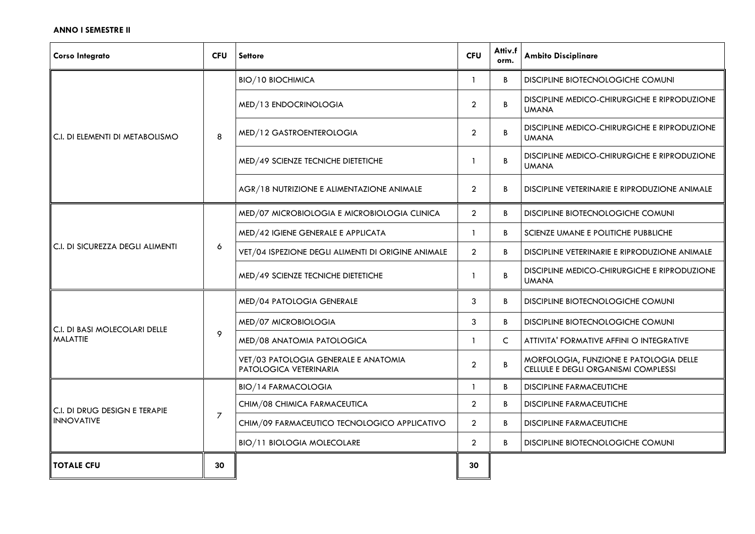## **ANNO I SEMESTRE II**

| <b>Corso Integrato</b>                                    | <b>CFU</b>     | <b>Settore</b>                                                 | <b>CFU</b>     | Attiv.f<br>orm. | <b>Ambito Disciplinare</b>                                                    |
|-----------------------------------------------------------|----------------|----------------------------------------------------------------|----------------|-----------------|-------------------------------------------------------------------------------|
| I C.I. DI ELEMENTI DI METABOLISMO                         | 8              | <b>BIO/10 BIOCHIMICA</b>                                       | 1              | B               | DISCIPLINE BIOTECNOLOGICHE COMUNI                                             |
|                                                           |                | MED/13 ENDOCRINOLOGIA                                          | $\overline{a}$ | B               | DISCIPLINE MEDICO-CHIRURGICHE E RIPRODUZIONE<br><b>UMANA</b>                  |
|                                                           |                | MED/12 GASTROENTEROLOGIA                                       | $\overline{2}$ | B               | DISCIPLINE MEDICO-CHIRURGICHE E RIPRODUZIONE<br><b>UMANA</b>                  |
|                                                           |                | MED/49 SCIENZE TECNICHE DIETETICHE                             |                | B               | DISCIPLINE MEDICO-CHIRURGICHE E RIPRODUZIONE<br><b>UMANA</b>                  |
|                                                           |                | AGR/18 NUTRIZIONE E ALIMENTAZIONE ANIMALE                      | $\overline{2}$ | B               | DISCIPLINE VETERINARIE E RIPRODUZIONE ANIMALE                                 |
| $\ $ C.I. DI SICUREZZA DEGLI ALIMENTI                     |                | MED/07 MICROBIOLOGIA E MICROBIOLOGIA CLINICA                   | $\overline{2}$ | B               | DISCIPLINE BIOTECNOLOGICHE COMUNI                                             |
|                                                           | 6              | MED/42 IGIENE GENERALE E APPLICATA                             | 1              | B               | SCIENZE UMANE E POLITICHE PUBBLICHE                                           |
|                                                           |                | VET/04 ISPEZIONE DEGLI ALIMENTI DI ORIGINE ANIMALE             | $\overline{2}$ | B               | DISCIPLINE VETERINARIE E RIPRODUZIONE ANIMALE                                 |
|                                                           |                | MED/49 SCIENZE TECNICHE DIETETICHE                             | 1              | B               | DISCIPLINE MEDICO-CHIRURGICHE E RIPRODUZIONE<br><b>UMANA</b>                  |
|                                                           | 9              | MED/04 PATOLOGIA GENERALE                                      | 3              | B               | DISCIPLINE BIOTECNOLOGICHE COMUNI                                             |
| $\mid$ C.I. DI BASI MOLECOLARI DELLE                      |                | MED/07 MICROBIOLOGIA                                           | 3              | B               | DISCIPLINE BIOTECNOLOGICHE COMUNI                                             |
| <b>MALATTIE</b>                                           |                | MED/08 ANATOMIA PATOLOGICA                                     |                | C               | ATTIVITA' FORMATIVE AFFINI O INTEGRATIVE                                      |
|                                                           |                | VET/03 PATOLOGIA GENERALE E ANATOMIA<br>PATOLOGICA VETERINARIA | $\overline{2}$ | B               | MORFOLOGIA, FUNZIONE E PATOLOGIA DELLE<br>CELLULE E DEGLI ORGANISMI COMPLESSI |
| $\mid$ C.I. di drug design e terapie<br><b>INNOVATIVE</b> | $\overline{7}$ | <b>BIO/14 FARMACOLOGIA</b>                                     | $\mathbf{1}$   | B               | <b>DISCIPLINE FARMACEUTICHE</b>                                               |
|                                                           |                | CHIM/08 CHIMICA FARMACEUTICA                                   | $\overline{2}$ | B               | <b>DISCIPLINE FARMACEUTICHE</b>                                               |
|                                                           |                | CHIM/09 FARMACEUTICO TECNOLOGICO APPLICATIVO                   | $\overline{2}$ | B               | <b>DISCIPLINE FARMACEUTICHE</b>                                               |
|                                                           |                | <b>BIO/11 BIOLOGIA MOLECOLARE</b>                              | $\overline{a}$ | B               | DISCIPLINE BIOTECNOLOGICHE COMUNI                                             |
| <b>TOTALE CFU</b>                                         | 30             |                                                                | 30             |                 |                                                                               |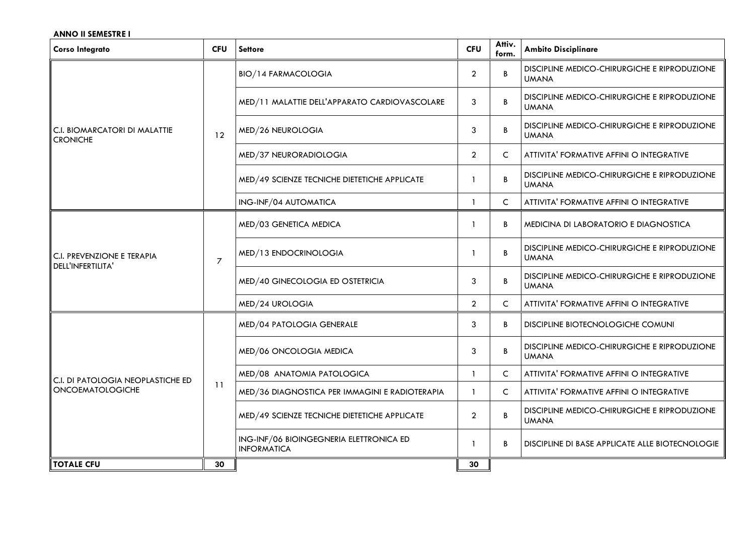#### **ANNO II SEMESTRE I**

| <b>Corso Integrato</b>                                            | <b>CFU</b>     | <b>Settore</b>                                                | <b>CFU</b>     | Attiv.<br>form. | <b>Ambito Disciplinare</b>                                   |
|-------------------------------------------------------------------|----------------|---------------------------------------------------------------|----------------|-----------------|--------------------------------------------------------------|
| $\mid$ C.I. BIOMARCATORI DI MALATTIE<br><b>CRONICHE</b>           | 12             | <b>BIO/14 FARMACOLOGIA</b>                                    | $\overline{2}$ | B               | DISCIPLINE MEDICO-CHIRURGICHE E RIPRODUZIONE<br><b>UMANA</b> |
|                                                                   |                | MED/11 MALATTIE DELL'APPARATO CARDIOVASCOLARE                 | 3              | B               | DISCIPLINE MEDICO-CHIRURGICHE E RIPRODUZIONE<br><b>UMANA</b> |
|                                                                   |                | MED/26 NEUROLOGIA                                             | 3              | B               | DISCIPLINE MEDICO-CHIRURGICHE E RIPRODUZIONE<br><b>UMANA</b> |
|                                                                   |                | MED/37 NEURORADIOLOGIA                                        | $\overline{2}$ | C               | ATTIVITA' FORMATIVE AFFINI O INTEGRATIVE                     |
|                                                                   |                | MED/49 SCIENZE TECNICHE DIETETICHE APPLICATE                  |                | B               | DISCIPLINE MEDICO-CHIRURGICHE E RIPRODUZIONE<br><b>UMANA</b> |
|                                                                   |                | ING-INF/04 AUTOMATICA                                         | 1              | C               | ATTIVITA' FORMATIVE AFFINI O INTEGRATIVE                     |
| $\parallel$ C.I. PREVENZIONE E TERAPIA<br>DELL'INFERTILITA'       | $\overline{7}$ | MED/03 GENETICA MEDICA                                        | 1              | B               | MEDICINA DI LABORATORIO E DIAGNOSTICA                        |
|                                                                   |                | MED/13 ENDOCRINOLOGIA                                         |                | B               | DISCIPLINE MEDICO-CHIRURGICHE E RIPRODUZIONE<br><b>UMANA</b> |
|                                                                   |                | MED/40 GINECOLOGIA ED OSTETRICIA                              | 3              | B               | DISCIPLINE MEDICO-CHIRURGICHE E RIPRODUZIONE<br><b>UMANA</b> |
|                                                                   |                | MED/24 UROLOGIA                                               | $\overline{2}$ | $\mathsf{C}$    | ATTIVITA' FORMATIVE AFFINI O INTEGRATIVE                     |
| $\ $ C.I. DI PATOLOGIA NEOPLASTICHE ED<br><b>ONCOEMATOLOGICHE</b> | 11             | MED/04 PATOLOGIA GENERALE                                     | 3              | B               | DISCIPLINE BIOTECNOLOGICHE COMUNI                            |
|                                                                   |                | MED/06 ONCOLOGIA MEDICA                                       | 3              | B               | DISCIPLINE MEDICO-CHIRURGICHE E RIPRODUZIONE<br><b>UMANA</b> |
|                                                                   |                | MED/08 ANATOMIA PATOLOGICA                                    | $\mathbf{1}$   | $\mathsf{C}$    | ATTIVITA' FORMATIVE AFFINI O INTEGRATIVE                     |
|                                                                   |                | MED/36 DIAGNOSTICA PER IMMAGINI E RADIOTERAPIA                |                | C               | ATTIVITA' FORMATIVE AFFINI O INTEGRATIVE                     |
|                                                                   |                | MED/49 SCIENZE TECNICHE DIETETICHE APPLICATE                  | $\overline{2}$ | B               | DISCIPLINE MEDICO-CHIRURGICHE E RIPRODUZIONE<br><b>UMANA</b> |
|                                                                   |                | ING-INF/06 BIOINGEGNERIA ELETTRONICA ED<br><b>INFORMATICA</b> |                | B               | DISCIPLINE DI BASE APPLICATE ALLE BIOTECNOLOGIE              |
| <b>TOTALE CFU</b>                                                 | 30             |                                                               | 30             |                 |                                                              |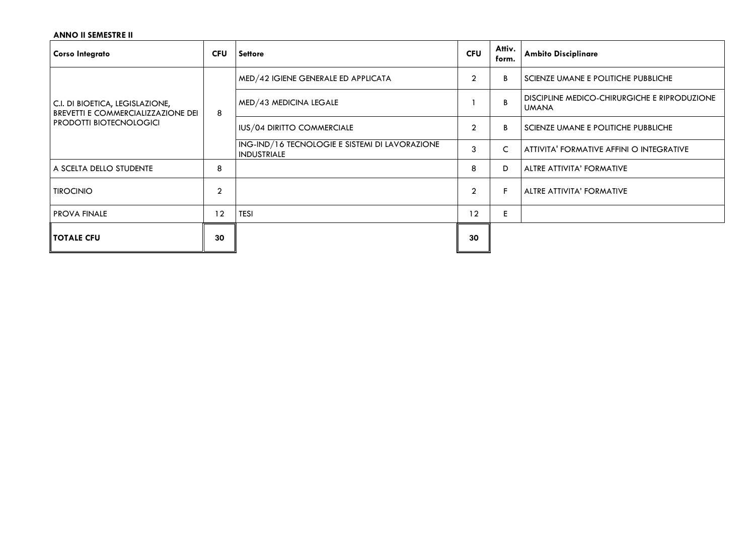# **ANNO II SEMESTRE II**

| <b>Corso Integrato</b>                                                                                         | <b>CFU</b>     | <b>Settore</b>                                                       | <b>CFU</b>     | Attiv.<br>form. | <b>Ambito Disciplinare</b>                                   |
|----------------------------------------------------------------------------------------------------------------|----------------|----------------------------------------------------------------------|----------------|-----------------|--------------------------------------------------------------|
| C.I. DI BIOETICA, LEGISLAZIONE,<br><b>BREVETTI E COMMERCIALIZZAZIONE DEI</b><br><b>PRODOTTI BIOTECNOLOGICI</b> | 8              | MED/42 IGIENE GENERALE ED APPLICATA                                  | $\overline{2}$ | B               | SCIENZE UMANE E POLITICHE PUBBLICHE                          |
|                                                                                                                |                | MED/43 MEDICINA LEGALE                                               |                | B               | DISCIPLINE MEDICO-CHIRURGICHE E RIPRODUZIONE<br><b>UMANA</b> |
|                                                                                                                |                | IUS/04 DIRITTO COMMERCIALE                                           | $\mathfrak{p}$ | B               | SCIENZE UMANE E POLITICHE PUBBLICHE                          |
|                                                                                                                |                | ING-IND/16 TECNOLOGIE E SISTEMI DI LAVORAZIONE<br><b>INDUSTRIALE</b> | 3              | $\mathsf{C}$    | ATTIVITA' FORMATIVE AFFINI O INTEGRATIVE                     |
| A SCELTA DELLO STUDENTE                                                                                        | 8              |                                                                      | 8              | D               | ALTRE ATTIVITA' FORMATIVE                                    |
| <b>TIROCINIO</b>                                                                                               | $\overline{2}$ |                                                                      | $\overline{2}$ | F               | ALTRE ATTIVITA' FORMATIVE                                    |
| <b>PROVA FINALE</b>                                                                                            | 12             | <b>TESI</b>                                                          | 12             | E               |                                                              |
| <b>TOTALE CFU</b>                                                                                              | 30             |                                                                      | 30             |                 |                                                              |